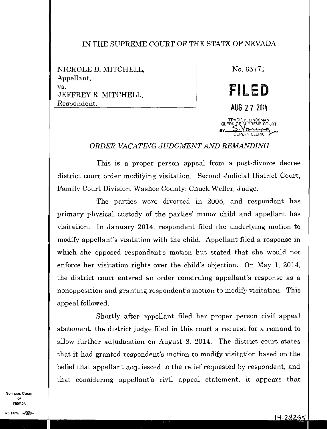## IN THE SUPREME COURT OF THE STATE OF NEVADA

NICKOLE D. MITCHELL, Appellant, vs. JEFFREY R. MITCHELL, Respondent.

No. 65771 **FILED**  AUG 2 7 2014 TRACIE K. LINDEMAN CLERK OF SUPREME COURT SERK OF SUPRE

*ORDER VACATING JUDGMENT AND REMANDING* 

This is a proper person appeal from a post-divorce decree district court order modifying visitation. Second Judicial District Court, Family Court Division, Washoe County; Chuck Weller, Judge.

The parties were divorced in 2005, and respondent has primary physical custody of the parties' minor child and appellant has visitation. In January 2014, respondent filed the underlying motion to modify appellant's visitation with the child. Appellant filed a response in which she opposed respondent's motion but stated that she would not enforce her visitation rights over the child's objection. On May 1, 2014, the district court entered an order construing appellant's response as a nonopposition and granting respondent's motion to modify visitation. This appeal followed.

Shortly after appellant filed her proper person civil appeal statement, the district judge filed in this court a request for a remand to allow further adjudication on August 8, 2014. The district court states that it had granted respondent's motion to modify visitation based on the belief that appellant acquiesced to the relief requested by respondent, and that considering appellant's civil appeal statement, it appears that

SUPREME COURT OF NEVADA